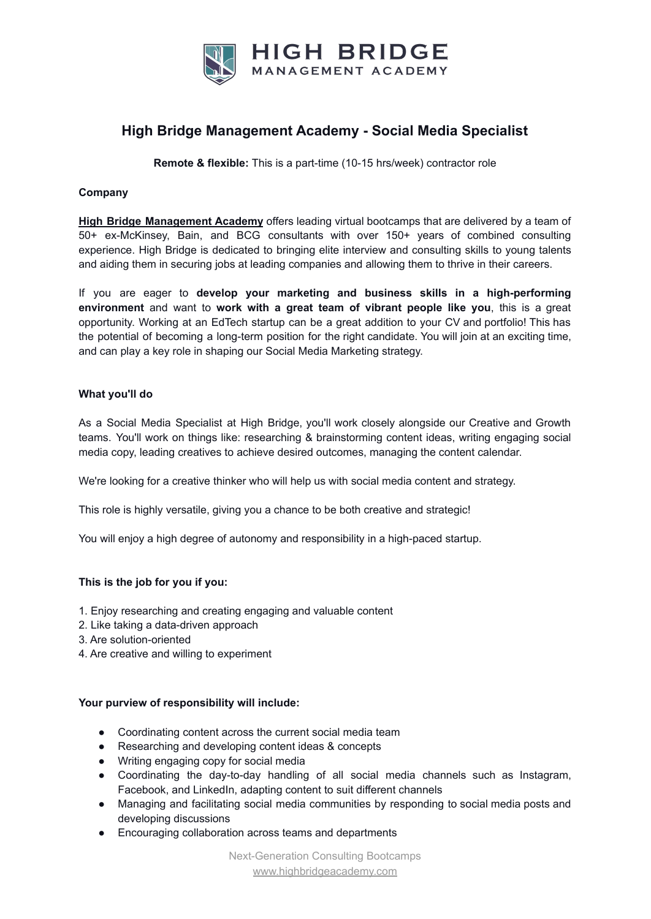

## **High Bridge Management Academy - Social Media Specialist**

**Remote & flexible:** This is a part-time (10-15 hrs/week) contractor role

### **Company**

**High Bridge [Management](https://highbridgeacademy.com/) Academy** offers leading virtual bootcamps that are delivered by a team of 50+ ex-McKinsey, Bain, and BCG consultants with over 150+ years of combined consulting experience. High Bridge is dedicated to bringing elite interview and consulting skills to young talents and aiding them in securing jobs at leading companies and allowing them to thrive in their careers.

If you are eager to **develop your marketing and business skills in a high-performing environment** and want to **work with a great team of vibrant people like you**, this is a great opportunity. Working at an EdTech startup can be a great addition to your CV and portfolio! This has the potential of becoming a long-term position for the right candidate. You will join at an exciting time, and can play a key role in shaping our Social Media Marketing strategy.

#### **What you'll do**

As a Social Media Specialist at High Bridge, you'll work closely alongside our Creative and Growth teams. You'll work on things like: researching & brainstorming content ideas, writing engaging social media copy, leading creatives to achieve desired outcomes, managing the content calendar.

We're looking for a creative thinker who will help us with social media content and strategy.

This role is highly versatile, giving you a chance to be both creative and strategic!

You will enjoy a high degree of autonomy and responsibility in a high-paced startup.

### **This is the job for you if you:**

- 1. Enjoy researching and creating engaging and valuable content
- 2. Like taking a data-driven approach
- 3. Are solution-oriented
- 4. Are creative and willing to experiment

#### **Your purview of responsibility will include:**

- Coordinating content across the current social media team
- Researching and developing content ideas & concepts
- Writing engaging copy for social media
- Coordinating the day-to-day handling of all social media channels such as Instagram, Facebook, and LinkedIn, adapting content to suit different channels
- Managing and facilitating social media communities by responding to social media posts and developing discussions
- Encouraging collaboration across teams and departments